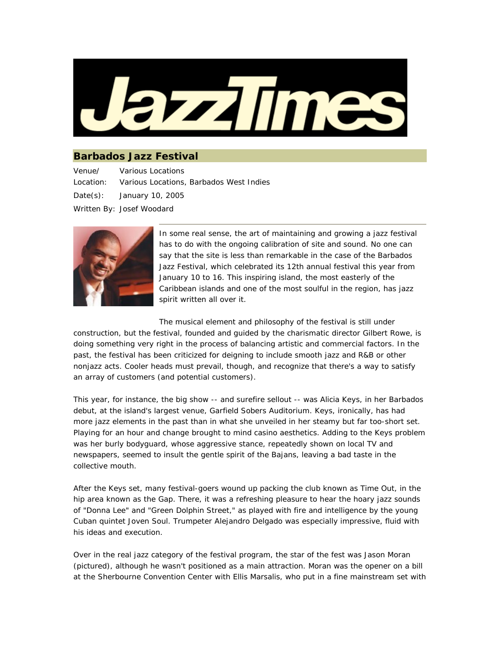

## **Barbados Jazz Festival**

Venue/ Location: Various Locations Various Locations, Barbados West Indies Date(s): January 10, 2005 Written By: Josef Woodard



In some real sense, the art of maintaining and growing a jazz festival has to do with the ongoing calibration of site and sound. No one can say that the site is less than remarkable in the case of the Barbados Jazz Festival, which celebrated its 12th annual festival this year from January 10 to 16. This inspiring island, the most easterly of the Caribbean islands and one of the most soulful in the region, has jazz spirit written all over it.

The musical element and philosophy of the festival is still under

construction, but the festival, founded and guided by the charismatic director Gilbert Rowe, is doing something very right in the process of balancing artistic and commercial factors. In the past, the festival has been criticized for deigning to include smooth jazz and R&B or other nonjazz acts. Cooler heads must prevail, though, and recognize that there's a way to satisfy an array of customers (and potential customers).

This year, for instance, the big show -- and surefire sellout -- was Alicia Keys, in her Barbados debut, at the island's largest venue, Garfield Sobers Auditorium. Keys, ironically, has had more jazz elements in the past than in what she unveiled in her steamy but far too-short set. Playing for an hour and change brought to mind casino aesthetics. Adding to the Keys problem was her burly bodyguard, whose aggressive stance, repeatedly shown on local TV and newspapers, seemed to insult the gentle spirit of the Bajans, leaving a bad taste in the collective mouth.

After the Keys set, many festival-goers wound up packing the club known as Time Out, in the hip area known as the Gap. There, it was a refreshing pleasure to hear the hoary jazz sounds of "Donna Lee" and "Green Dolphin Street," as played with fire and intelligence by the young Cuban quintet Joven Soul. Trumpeter Alejandro Delgado was especially impressive, fluid with his ideas and execution.

Over in the real jazz category of the festival program, the star of the fest was Jason Moran (pictured), although he wasn't positioned as a main attraction. Moran was the opener on a bill at the Sherbourne Convention Center with Ellis Marsalis, who put in a fine mainstream set with